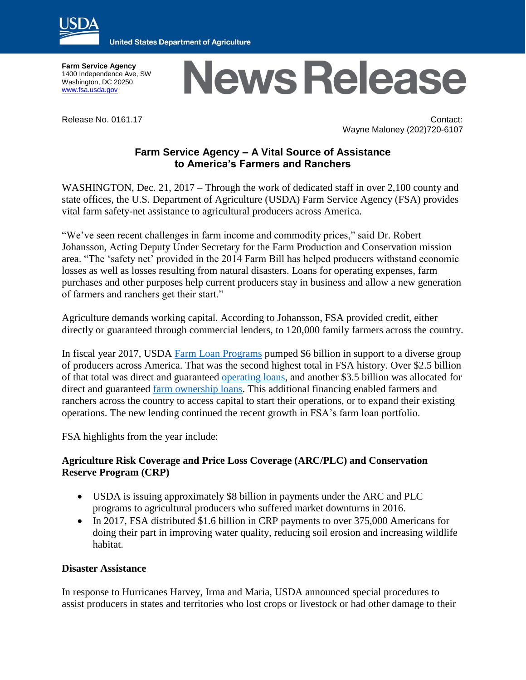

**United States Department of Agriculture** 

**Farm Service Agency** 1400 Independence Ave, SW Washington, DC 20250 [www.fsa.usda.gov](http://www.fsa.usda.gov/)

# **News Release**

Release No. 0161.17 Contact: Wayne Maloney (202)720-6107

## **Farm Service Agency – A Vital Source of Assistance to America's Farmers and Ranchers**

WASHINGTON, Dec. 21, 2017 – Through the work of dedicated staff in over 2,100 county and state offices, the U.S. Department of Agriculture (USDA) Farm Service Agency (FSA) provides vital farm safety-net assistance to agricultural producers across America.

"We've seen recent challenges in farm income and commodity prices," said Dr. Robert Johansson, Acting Deputy Under Secretary for the Farm Production and Conservation mission area. "The 'safety net' provided in the 2014 Farm Bill has helped producers withstand economic losses as well as losses resulting from natural disasters. Loans for operating expenses, farm purchases and other purposes help current producers stay in business and allow a new generation of farmers and ranchers get their start."

Agriculture demands working capital. According to Johansson, FSA provided credit, either directly or guaranteed through commercial lenders, to 120,000 family farmers across the country.

In fiscal year 2017, USDA [Farm Loan](http://links.govdelivery.com/track?type=click&enid=ZWFzPTEmbXNpZD0mYXVpZD0mbWFpbGluZ2lkPTIwMTcxMTE2LjgxMDI4MjAxJm1lc3NhZ2VpZD1NREItUFJELUJVTC0yMDE3MTExNi44MTAyODIwMSZkYXRhYmFzZWlkPTEwMDEmc2VyaWFsPTE3MTUzNjU0JmVtYWlsaWQ9d2F5bmUubWFsb25leUB3ZGMudXNkYS5nb3YmdXNlcmlkPXdheW5lLm1hbG9uZXlAd2RjLnVzZGEuZ292JnRhcmdldGlkPSZmbD0mbXZpZD0mZXh0cmE9JiYm&&&100&&&https://www.fsa.usda.gov/programs-and-services/farm-loan-programs/index) Programs pumped \$6 billion in support to a diverse group of producers across America. That was the second highest total in FSA history. Over \$2.5 billion of that total was direct and guaranteed [operating loans,](http://links.govdelivery.com/track?type=click&enid=ZWFzPTEmbXNpZD0mYXVpZD0mbWFpbGluZ2lkPTIwMTcxMTE2LjgxMDI4MjAxJm1lc3NhZ2VpZD1NREItUFJELUJVTC0yMDE3MTExNi44MTAyODIwMSZkYXRhYmFzZWlkPTEwMDEmc2VyaWFsPTE3MTUzNjU0JmVtYWlsaWQ9d2F5bmUubWFsb25leUB3ZGMudXNkYS5nb3YmdXNlcmlkPXdheW5lLm1hbG9uZXlAd2RjLnVzZGEuZ292JnRhcmdldGlkPSZmbD0mbXZpZD0mZXh0cmE9JiYm&&&101&&&https://www.fsa.usda.gov/programs-and-services/farm-loan-programs/farm-operating-loans/index) and another \$3.5 billion was allocated for direct and guaranteed [farm ownership loans.](http://links.govdelivery.com/track?type=click&enid=ZWFzPTEmbXNpZD0mYXVpZD0mbWFpbGluZ2lkPTIwMTcxMTE2LjgxMDI4MjAxJm1lc3NhZ2VpZD1NREItUFJELUJVTC0yMDE3MTExNi44MTAyODIwMSZkYXRhYmFzZWlkPTEwMDEmc2VyaWFsPTE3MTUzNjU0JmVtYWlsaWQ9d2F5bmUubWFsb25leUB3ZGMudXNkYS5nb3YmdXNlcmlkPXdheW5lLm1hbG9uZXlAd2RjLnVzZGEuZ292JnRhcmdldGlkPSZmbD0mbXZpZD0mZXh0cmE9JiYm&&&102&&&https://www.fsa.usda.gov/programs-and-services/farm-loan-programs/farm-ownership-loans/index) This additional financing enabled farmers and ranchers across the country to access capital to start their operations, or to expand their existing operations. The new lending continued the recent growth in FSA's farm loan portfolio.

FSA highlights from the year include:

## **Agriculture Risk Coverage and Price Loss Coverage (ARC/PLC) and Conservation Reserve Program (CRP)**

- USDA is issuing approximately \$8 billion in payments under the ARC and PLC programs to agricultural producers who suffered market downturns in 2016.
- In 2017, FSA distributed \$1.6 billion in CRP payments to over 375,000 Americans for doing their part in improving water quality, reducing soil erosion and increasing wildlife habitat.

#### **Disaster Assistance**

In response to Hurricanes Harvey, Irma and Maria, USDA announced special procedures to assist producers in states and territories who lost crops or livestock or had other damage to their